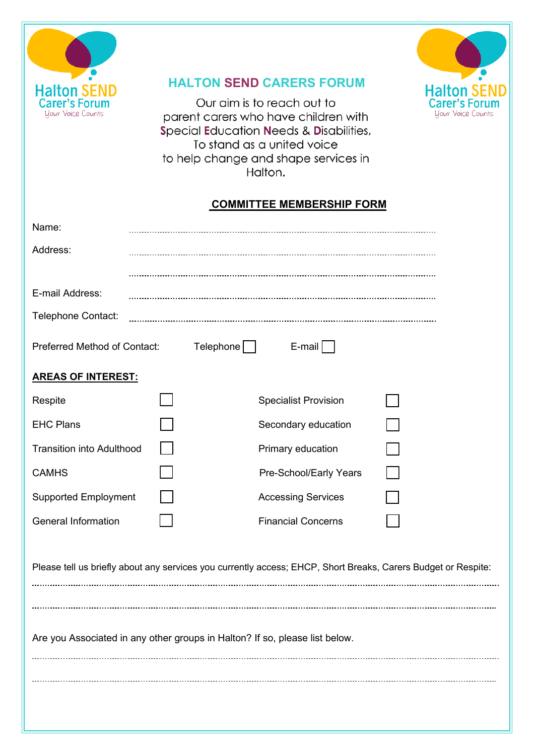

## **HALTON SEND CARERS FORUM**

Our aim is to reach out to parent carers who have children with Special Education Needs & Disabilities, To stand as a united voice to help change and shape services in Halton.

## **COMMITTEE MEMBERSHIP FORM**

**Halton SEND**<br>Carer's Forum

Your Voice Counts

| Name:                                                                                                         |           |                             |  |  |  |
|---------------------------------------------------------------------------------------------------------------|-----------|-----------------------------|--|--|--|
| Address:                                                                                                      |           |                             |  |  |  |
|                                                                                                               |           |                             |  |  |  |
| E-mail Address:                                                                                               |           |                             |  |  |  |
| Telephone Contact:                                                                                            |           |                             |  |  |  |
| Preferred Method of Contact:                                                                                  | Telephone | E-mail                      |  |  |  |
| <b>AREAS OF INTEREST:</b>                                                                                     |           |                             |  |  |  |
| Respite                                                                                                       |           | <b>Specialist Provision</b> |  |  |  |
| <b>EHC Plans</b>                                                                                              |           | Secondary education         |  |  |  |
| <b>Transition into Adulthood</b>                                                                              |           | Primary education           |  |  |  |
| <b>CAMHS</b>                                                                                                  |           | Pre-School/Early Years      |  |  |  |
| <b>Supported Employment</b>                                                                                   |           | <b>Accessing Services</b>   |  |  |  |
| <b>General Information</b>                                                                                    |           | <b>Financial Concerns</b>   |  |  |  |
| Please tell us briefly about any services you currently access; EHCP, Short Breaks, Carers Budget or Respite: |           |                             |  |  |  |
|                                                                                                               |           |                             |  |  |  |
| Are you Associated in any other groups in Halton? If so, please list below.                                   |           |                             |  |  |  |
|                                                                                                               |           |                             |  |  |  |
|                                                                                                               |           |                             |  |  |  |
|                                                                                                               |           |                             |  |  |  |